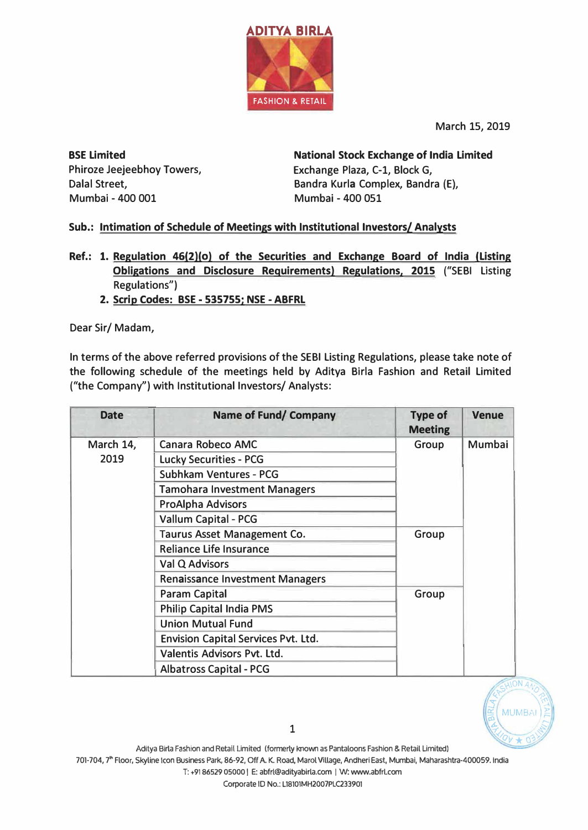

**March 15, 2019** 

**BSE Limited Phiroze Jeejeebhoy Towers, Dalal Street, Mumbai - 400 001** 

**National Stock Exchange of India Limited Exchange Plaza, C-1, Block G, Bandra Kurla Complex, Bandra (E), Mumbai - 400 051** 

## **Sub.: Intimation of Schedule of Meetings with Institutional Investors/ Analysts**

- **Ref.: 1. Regulation 46(2)(0) of the Securities and Exchange Board of India (Listing Obligations and Disclosure Requirements) Regulations, 2015 ("SEBI Listing Regulations")** 
	- **2. Scrip Codes: BSE - 535755; NSE - ABFRL**

**Dear Sir/ Madam,** 

**In terms of the above referred provisions of the SEBI Listing Regulations, please take note of the following schedule of the meetings held by Aditya Birla Fashion and Retail Limited ("the Company") with Institutional Investors/ Analysts:** 

| <b>Date</b> | <b>Name of Fund/ Company</b>               | <b>Type of</b><br><b>Meeting</b> | <b>Venue</b> |
|-------------|--------------------------------------------|----------------------------------|--------------|
| March 14,   | Canara Robeco AMC                          | Group                            | Mumbai       |
| 2019        | <b>Lucky Securities - PCG</b>              |                                  |              |
|             | <b>Subhkam Ventures - PCG</b>              |                                  |              |
|             | <b>Tamohara Investment Managers</b>        |                                  |              |
|             | <b>ProAlpha Advisors</b>                   |                                  |              |
|             | <b>Vallum Capital - PCG</b>                |                                  |              |
|             | Taurus Asset Management Co.                | Group                            |              |
|             | <b>Reliance Life Insurance</b>             |                                  |              |
|             | Val Q Advisors                             |                                  |              |
|             | <b>Renaissance Investment Managers</b>     |                                  |              |
|             | <b>Param Capital</b>                       | Group                            |              |
|             | <b>Philip Capital India PMS</b>            |                                  |              |
|             | <b>Union Mutual Fund</b>                   |                                  |              |
|             | <b>Envision Capital Services Pvt. Ltd.</b> |                                  |              |
|             | Valentis Advisors Pvt. Ltd.                |                                  |              |
|             | <b>Albatross Capital - PCG</b>             |                                  |              |



1

Corporate ID No.: L18101MH2007PLC233901